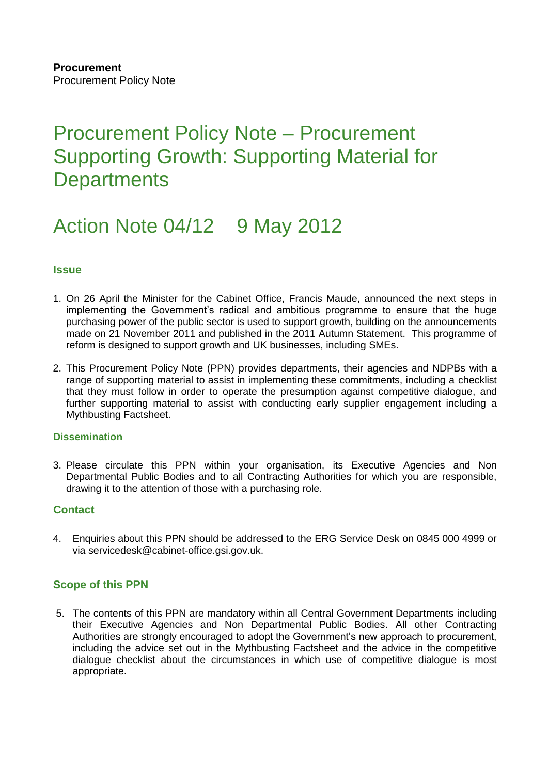# Procurement Policy Note – Procurement Supporting Growth: Supporting Material for **Departments**

# Action Note 04/12 9 May 2012

# **Issue**

- 1. On 26 April the Minister for the Cabinet Office, Francis Maude, announced the next steps in implementing the Government's radical and ambitious programme to ensure that the huge purchasing power of the public sector is used to support growth, building on the announcements made on 21 November 2011 and published in the 2011 Autumn Statement. This programme of reform is designed to support growth and UK businesses, including SMEs.
- 2. This Procurement Policy Note (PPN) provides departments, their agencies and NDPBs with a range of supporting material to assist in implementing these commitments, including a checklist that they must follow in order to operate the presumption against competitive dialogue, and further supporting material to assist with conducting early supplier engagement including a Mythbusting Factsheet.

## **Dissemination**

3. Please circulate this PPN within your organisation, its Executive Agencies and Non Departmental Public Bodies and to all Contracting Authorities for which you are responsible, drawing it to the attention of those with a purchasing role.

## **Contact**

4. Enquiries about this PPN should be addressed to the ERG Service Desk on 0845 000 4999 or via servicedesk@cabinet-office.gsi.gov.uk.

# **Scope of this PPN**

5. The contents of this PPN are mandatory within all Central Government Departments including their Executive Agencies and Non Departmental Public Bodies. All other Contracting Authorities are strongly encouraged to adopt the Government's new approach to procurement, including the advice set out in the Mythbusting Factsheet and the advice in the competitive dialogue checklist about the circumstances in which use of competitive dialogue is most appropriate.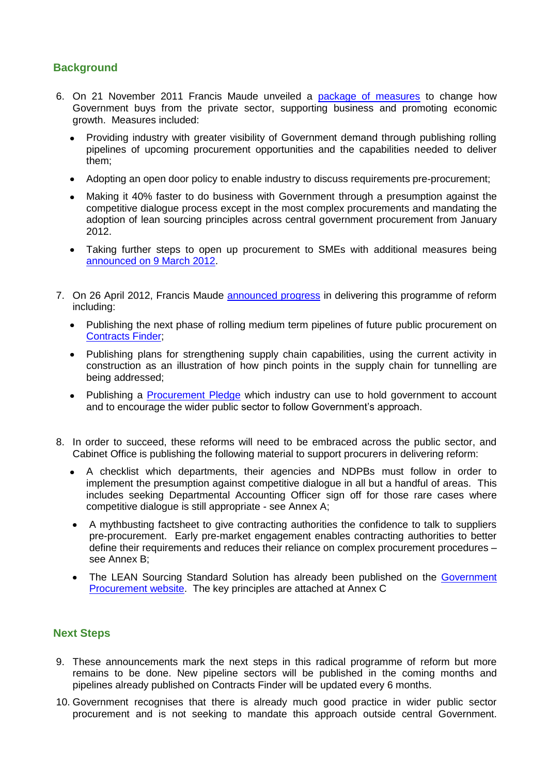# **Background**

- 6. On 21 November 2011 Francis Maude unveiled a [package of measures](http://www.cabinetoffice.gov.uk/news/radical-package-unveiled-support-business-and-promote-growth) to change how Government buys from the private sector, supporting business and promoting economic growth. Measures included:
	- Providing industry with greater visibility of Government demand through publishing rolling pipelines of upcoming procurement opportunities and the capabilities needed to deliver them;
	- Adopting an open door policy to enable industry to discuss requirements pre-procurement;  $\bullet$
	- Making it 40% faster to do business with Government through a presumption against the competitive dialogue process except in the most complex procurements and mandating the adoption of lean sourcing principles across central government procurement from January 2012.
	- Taking further steps to open up procurement to SMEs with additional measures being [announced on 9 March 2012.](http://www.cabinetoffice.gov.uk/news/better-deal-smaller-businesses)
- 7. On 26 April 2012, Francis Maude [announced progress](http://www.cabinetoffice.gov.uk/news/70-billion-potential-government-business-published-boost-uk-growth) in delivering this programme of reform including:
	- Publishing the next phase of rolling medium term pipelines of future public procurement on  $\bullet$ [Contracts Finder;](http://www.businesslink.gov.uk/contractsfinder)
	- Publishing plans for strengthening supply chain capabilities, using the current activity in  $\bullet$ construction as an illustration of how pinch points in the supply chain for tunnelling are being addressed;
	- Publishing a **Procurement Pledge** which industry can use to hold government to account  $\bullet$ and to encourage the wider public sector to follow Government's approach.
- 8. In order to succeed, these reforms will need to be embraced across the public sector, and Cabinet Office is publishing the following material to support procurers in delivering reform:
	- A checklist which departments, their agencies and NDPBs must follow in order to  $\bullet$ implement the presumption against competitive dialogue in all but a handful of areas. This includes seeking Departmental Accounting Officer sign off for those rare cases where competitive dialogue is still appropriate - see Annex A;
	- A mythbusting factsheet to give contracting authorities the confidence to talk to suppliers pre-procurement. Early pre-market engagement enables contracting authorities to better define their requirements and reduces their reliance on complex procurement procedures – see Annex B;
	- The LEAN Sourcing Standard Solution has already been published on the [Government](http://procurement.cabinetoffice.gov.uk/)  [Procurement website.](http://procurement.cabinetoffice.gov.uk/) The key principles are attached at Annex C

# **Next Steps**

- 9. These announcements mark the next steps in this radical programme of reform but more remains to be done. New pipeline sectors will be published in the coming months and pipelines already published on Contracts Finder will be updated every 6 months.
- 10. Government recognises that there is already much good practice in wider public sector procurement and is not seeking to mandate this approach outside central Government.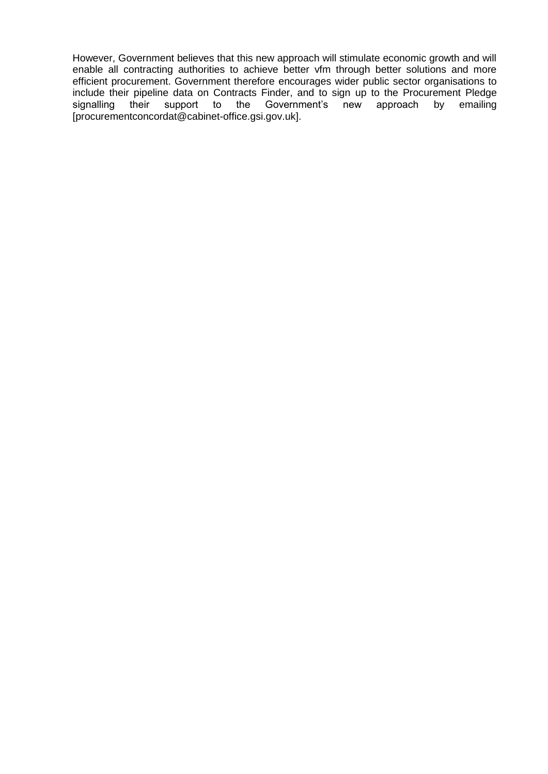However, Government believes that this new approach will stimulate economic growth and will enable all contracting authorities to achieve better vfm through better solutions and more efficient procurement. Government therefore encourages wider public sector organisations to include their pipeline data on Contracts Finder, and to sign up to the Procurement Pledge signalling their support to the Government's new approach by emailing [procurementconcordat@cabinet-office.gsi.gov.uk].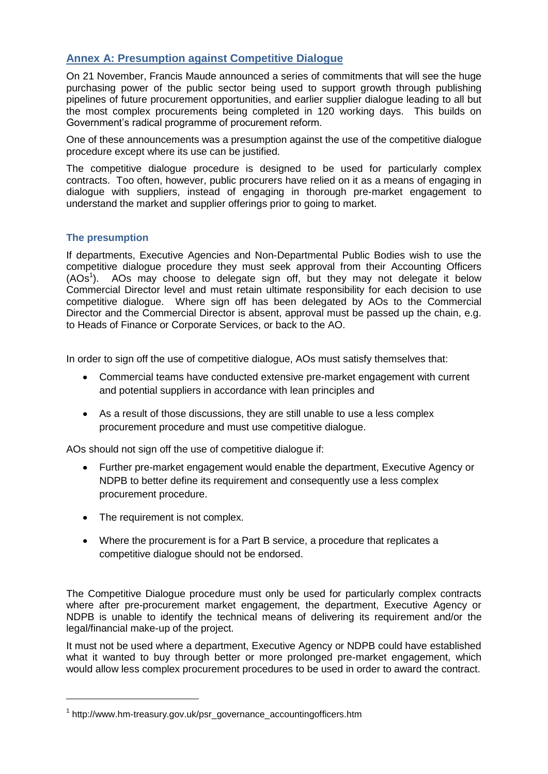# **Annex A: Presumption against Competitive Dialogue**

On 21 November, Francis Maude announced a series of commitments that will see the huge purchasing power of the public sector being used to support growth through publishing pipelines of future procurement opportunities, and earlier supplier dialogue leading to all but the most complex procurements being completed in 120 working days. This builds on Government's radical programme of procurement reform.

One of these announcements was a presumption against the use of the competitive dialogue procedure except where its use can be justified.

The competitive dialogue procedure is designed to be used for particularly complex contracts. Too often, however, public procurers have relied on it as a means of engaging in dialogue with suppliers, instead of engaging in thorough pre-market engagement to understand the market and supplier offerings prior to going to market.

## **The presumption**

If departments, Executive Agencies and Non-Departmental Public Bodies wish to use the competitive dialogue procedure they must seek approval from their Accounting Officers (AOs<sup>1</sup>). AOs may choose to delegate sign off, but they may not delegate it below Commercial Director level and must retain ultimate responsibility for each decision to use competitive dialogue. Where sign off has been delegated by AOs to the Commercial Director and the Commercial Director is absent, approval must be passed up the chain, e.g. to Heads of Finance or Corporate Services, or back to the AO.

In order to sign off the use of competitive dialogue, AOs must satisfy themselves that:

- Commercial teams have conducted extensive pre-market engagement with current and potential suppliers in accordance with lean principles and
- As a result of those discussions, they are still unable to use a less complex procurement procedure and must use competitive dialogue.

AOs should not sign off the use of competitive dialogue if:

- Further pre-market engagement would enable the department, Executive Agency or NDPB to better define its requirement and consequently use a less complex procurement procedure.
- The requirement is not complex.

1

Where the procurement is for a Part B service, a procedure that replicates a competitive dialogue should not be endorsed.

The Competitive Dialogue procedure must only be used for particularly complex contracts where after pre-procurement market engagement, the department, Executive Agency or NDPB is unable to identify the technical means of delivering its requirement and/or the legal/financial make-up of the project.

It must not be used where a department, Executive Agency or NDPB could have established what it wanted to buy through better or more prolonged pre-market engagement, which would allow less complex procurement procedures to be used in order to award the contract.

<sup>&</sup>lt;sup>1</sup> http://www.hm-treasury.gov.uk/psr\_governance\_accountingofficers.htm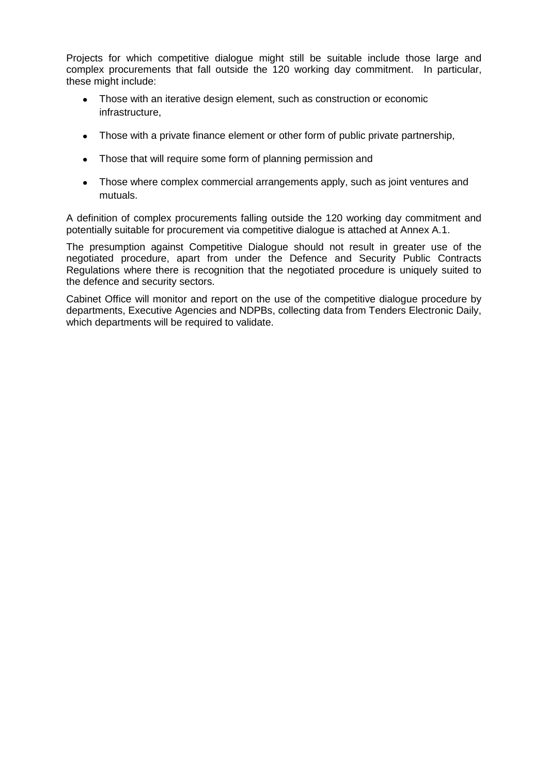Projects for which competitive dialogue might still be suitable include those large and complex procurements that fall outside the 120 working day commitment. In particular, these might include:

- Those with an iterative design element, such as construction or economic infrastructure,
- Those with a private finance element or other form of public private partnership,
- Those that will require some form of planning permission and
- Those where complex commercial arrangements apply, such as joint ventures and mutuals.

A definition of complex procurements falling outside the 120 working day commitment and potentially suitable for procurement via competitive dialogue is attached at Annex A.1.

The presumption against Competitive Dialogue should not result in greater use of the negotiated procedure, apart from under the Defence and Security Public Contracts Regulations where there is recognition that the negotiated procedure is uniquely suited to the defence and security sectors.

Cabinet Office will monitor and report on the use of the competitive dialogue procedure by departments, Executive Agencies and NDPBs, collecting data from Tenders Electronic Daily, which departments will be required to validate.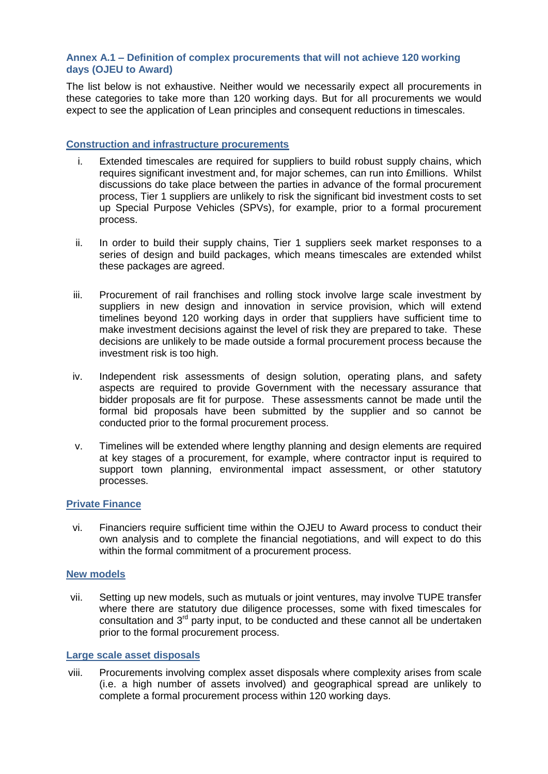## **Annex A.1 – Definition of complex procurements that will not achieve 120 working days (OJEU to Award)**

The list below is not exhaustive. Neither would we necessarily expect all procurements in these categories to take more than 120 working days. But for all procurements we would expect to see the application of Lean principles and consequent reductions in timescales.

#### **Construction and infrastructure procurements**

- i. Extended timescales are required for suppliers to build robust supply chains, which requires significant investment and, for major schemes, can run into £millions. Whilst discussions do take place between the parties in advance of the formal procurement process, Tier 1 suppliers are unlikely to risk the significant bid investment costs to set up Special Purpose Vehicles (SPVs), for example, prior to a formal procurement process.
- ii. In order to build their supply chains, Tier 1 suppliers seek market responses to a series of design and build packages, which means timescales are extended whilst these packages are agreed.
- iii. Procurement of rail franchises and rolling stock involve large scale investment by suppliers in new design and innovation in service provision, which will extend timelines beyond 120 working days in order that suppliers have sufficient time to make investment decisions against the level of risk they are prepared to take. These decisions are unlikely to be made outside a formal procurement process because the investment risk is too high.
- iv. Independent risk assessments of design solution, operating plans, and safety aspects are required to provide Government with the necessary assurance that bidder proposals are fit for purpose. These assessments cannot be made until the formal bid proposals have been submitted by the supplier and so cannot be conducted prior to the formal procurement process.
- v. Timelines will be extended where lengthy planning and design elements are required at key stages of a procurement, for example, where contractor input is required to support town planning, environmental impact assessment, or other statutory processes.

## **Private Finance**

vi. Financiers require sufficient time within the OJEU to Award process to conduct their own analysis and to complete the financial negotiations, and will expect to do this within the formal commitment of a procurement process.

#### **New models**

vii. Setting up new models, such as mutuals or joint ventures, may involve TUPE transfer where there are statutory due diligence processes, some with fixed timescales for consultation and  $3<sup>rd</sup>$  party input, to be conducted and these cannot all be undertaken prior to the formal procurement process.

#### **Large scale asset disposals**

viii. Procurements involving complex asset disposals where complexity arises from scale (i.e. a high number of assets involved) and geographical spread are unlikely to complete a formal procurement process within 120 working days.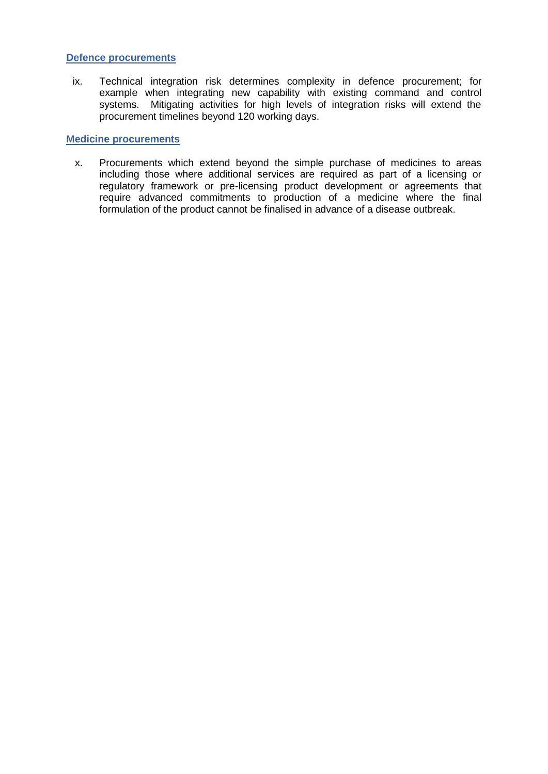#### **Defence procurements**

ix. Technical integration risk determines complexity in defence procurement; for example when integrating new capability with existing command and control systems. Mitigating activities for high levels of integration risks will extend the procurement timelines beyond 120 working days.

#### **Medicine procurements**

x. Procurements which extend beyond the simple purchase of medicines to areas including those where additional services are required as part of a licensing or regulatory framework or pre-licensing product development or agreements that require advanced commitments to production of a medicine where the final formulation of the product cannot be finalised in advance of a disease outbreak.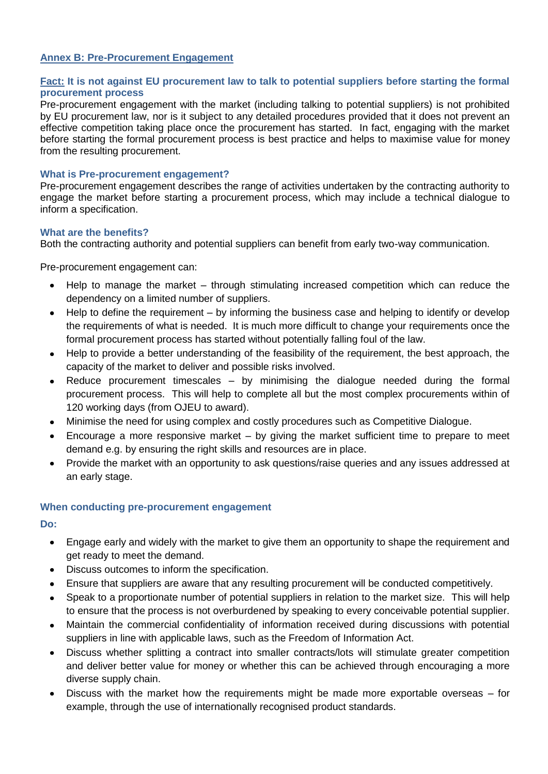#### **Annex B: Pre-Procurement Engagement**

## **Fact: It is not against EU procurement law to talk to potential suppliers before starting the formal procurement process**

Pre-procurement engagement with the market (including talking to potential suppliers) is not prohibited by EU procurement law, nor is it subject to any detailed procedures provided that it does not prevent an effective competition taking place once the procurement has started. In fact, engaging with the market before starting the formal procurement process is best practice and helps to maximise value for money from the resulting procurement.

#### **What is Pre-procurement engagement?**

Pre-procurement engagement describes the range of activities undertaken by the contracting authority to engage the market before starting a procurement process, which may include a technical dialogue to inform a specification.

#### **What are the benefits?**

Both the contracting authority and potential suppliers can benefit from early two-way communication.

Pre-procurement engagement can:

- Help to manage the market through stimulating increased competition which can reduce the dependency on a limited number of suppliers.
- Help to define the requirement by informing the business case and helping to identify or develop the requirements of what is needed. It is much more difficult to change your requirements once the formal procurement process has started without potentially falling foul of the law.
- Help to provide a better understanding of the feasibility of the requirement, the best approach, the capacity of the market to deliver and possible risks involved.
- Reduce procurement timescales by minimising the dialogue needed during the formal procurement process. This will help to complete all but the most complex procurements within of 120 working days (from OJEU to award).
- Minimise the need for using complex and costly procedures such as Competitive Dialogue.
- Encourage a more responsive market by giving the market sufficient time to prepare to meet demand e.g. by ensuring the right skills and resources are in place.
- Provide the market with an opportunity to ask questions/raise queries and any issues addressed at an early stage.

## **When conducting pre-procurement engagement**

**Do:**

- Engage early and widely with the market to give them an opportunity to shape the requirement and get ready to meet the demand.
- Discuss outcomes to inform the specification.
- Ensure that suppliers are aware that any resulting procurement will be conducted competitively.  $\bullet$
- Speak to a proportionate number of potential suppliers in relation to the market size. This will help to ensure that the process is not overburdened by speaking to every conceivable potential supplier.
- Maintain the commercial confidentiality of information received during discussions with potential suppliers in line with applicable laws, such as the Freedom of Information Act.
- Discuss whether splitting a contract into smaller contracts/lots will stimulate greater competition and deliver better value for money or whether this can be achieved through encouraging a more diverse supply chain.
- Discuss with the market how the requirements might be made more exportable overseas for example, through the use of internationally recognised product standards.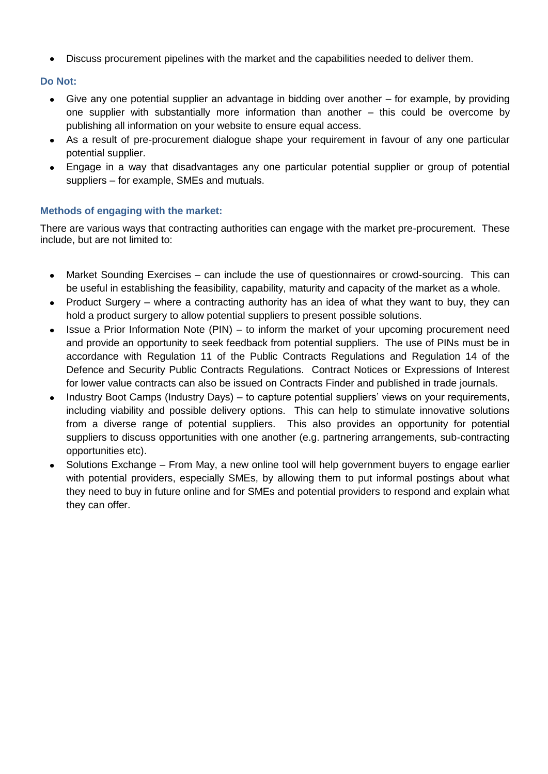Discuss procurement pipelines with the market and the capabilities needed to deliver them.

# **Do Not:**

- Give any one potential supplier an advantage in bidding over another for example, by providing one supplier with substantially more information than another – this could be overcome by publishing all information on your website to ensure equal access.
- As a result of pre-procurement dialogue shape your requirement in favour of any one particular potential supplier.
- Engage in a way that disadvantages any one particular potential supplier or group of potential suppliers – for example, SMEs and mutuals.

# **Methods of engaging with the market:**

There are various ways that contracting authorities can engage with the market pre-procurement. These include, but are not limited to:

- Market Sounding Exercises can include the use of questionnaires or crowd-sourcing. This can be useful in establishing the feasibility, capability, maturity and capacity of the market as a whole.
- Product Surgery where a contracting authority has an idea of what they want to buy, they can hold a product surgery to allow potential suppliers to present possible solutions.
- Issue a Prior Information Note (PIN) to inform the market of your upcoming procurement need and provide an opportunity to seek feedback from potential suppliers. The use of PINs must be in accordance with Regulation 11 of the Public Contracts Regulations and Regulation 14 of the Defence and Security Public Contracts Regulations. Contract Notices or Expressions of Interest for lower value contracts can also be issued on Contracts Finder and published in trade journals.
- Industry Boot Camps (Industry Days) to capture potential suppliers' views on your requirements, including viability and possible delivery options. This can help to stimulate innovative solutions from a diverse range of potential suppliers. This also provides an opportunity for potential suppliers to discuss opportunities with one another (e.g. partnering arrangements, sub-contracting opportunities etc).
- Solutions Exchange From May, a new online tool will help government buyers to engage earlier with potential providers, especially SMEs, by allowing them to put informal postings about what they need to buy in future online and for SMEs and potential providers to respond and explain what they can offer.